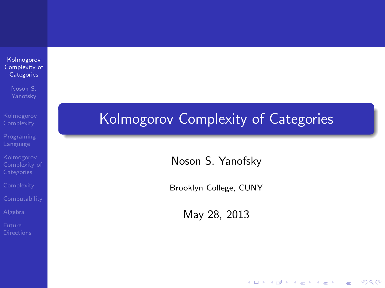Kolmogorov [Complexity of](#page-41-0) **Categories** 

Noson S.

<span id="page-0-0"></span>

### Kolmogorov Complexity of Categories

Noson S. Yanofsky

Brooklyn College, CUNY

May 28, 2013

 $\left\{ \begin{array}{ccc} \pm & \pm & \pm \end{array} \right.$ 

 $\mathbb{R}^{n-1}$  $2990$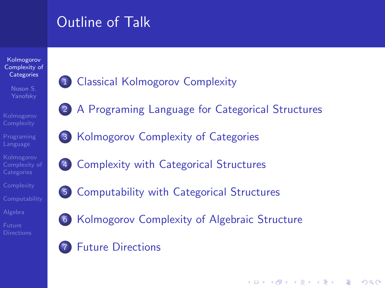## Outline of Talk

#### Kolmogorov [Complexity of](#page-0-0) **Categories**

- Noson S.
- 
- 
- 
- 
- 
- 
- <span id="page-1-0"></span>
- 1 [Classical Kolmogorov Complexity](#page-2-0)
- 2 [A Programing Language for Categorical Structures](#page-5-0)
- 3 [Kolmogorov Complexity of Categories](#page-12-0)
- 4 [Complexity with Categorical Structures](#page-16-0)
- 5 [Computability with Categorical Structures](#page-22-0)
- 
- 6 [Kolmogorov Complexity of Algebraic Structure](#page-32-0)

**KORKA SERKER ORA** 

**[Future Directions](#page-34-0)**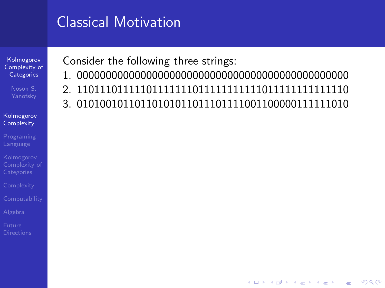## Classical Motivation

Kolmogorov [Complexity of](#page-0-0) **Categories** 

#### **[Kolmogorov](#page-2-0) Complexity**

[Programing](#page-5-0)

<span id="page-2-0"></span>

Consider the following three strings:

- 1. 00000000000000000000000000000000000000000000000
- 2. 11011101111101111111011111111111011111111111110
- 3. 01010010110110101011011101111001100000111111010

 $\mathbf{E} = \mathbf{A} \oplus \mathbf{A} + \mathbf{A} \oplus \mathbf{A} + \mathbf{A} \oplus \mathbf{A} + \mathbf{A} \oplus \mathbf{A} + \mathbf{A} \oplus \mathbf{A} + \mathbf{A} \oplus \mathbf{A} + \mathbf{A} \oplus \mathbf{A} + \mathbf{A} \oplus \mathbf{A} + \mathbf{A} \oplus \mathbf{A} + \mathbf{A} \oplus \mathbf{A} + \mathbf{A} \oplus \mathbf{A} + \mathbf{A} \oplus \mathbf{A} + \mathbf{A} \oplus \mathbf{A} + \mathbf{A$ 

 $2990$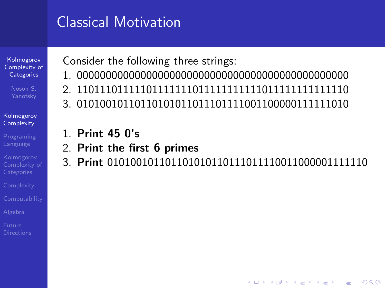## Classical Motivation

Kolmogorov [Complexity of](#page-0-0) **Categories** 

#### [Kolmogorov](#page-2-0) **Complexity**

[Programing](#page-5-0)

<span id="page-3-0"></span>

Consider the following three strings:

- 1. 00000000000000000000000000000000000000000000000
- 2. 11011101111101111111011111111111011111111111110
- 3. 01010010110110101011011101111001100000111111010
- 1. Print 45 0's
- 2. Print the first 6 primes
- 3. Print 010100101101101010110111011110011000001111110

**KORK ERKER ER AGA**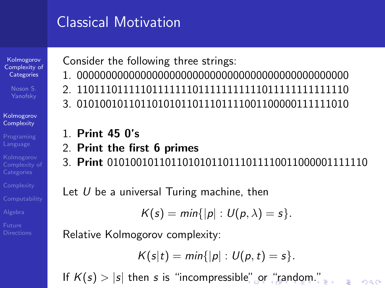## Classical Motivation

Kolmogorov [Complexity of](#page-0-0) **Categories** 

#### [Kolmogorov](#page-2-0) **Complexity**

[Programing](#page-5-0) Language

<span id="page-4-0"></span>**[Directions](#page-34-0)** 

Consider the following three strings:

- 1. 00000000000000000000000000000000000000000000000
- 2. 11011101111101111111011111111111011111111111110
- 3. 01010010110110101011011101111001100000111111010
- 1. Print 45 0's
- 2. Print the first 6 primes
- 3. Print 010100101101101010110111011110011000001111110

Let  $U$  be a universal Turing machine, then

$$
K(s)=\min\{|p|:U(p,\lambda)=s\}.
$$

Relative Kolmogorov complexity:

$$
K(s|t) = min\{|p|: U(p,t) = s\}.
$$

 $\Omega$ 

If $K(s) > |s|$  then s is "incompressibl[e"](#page-3-0) [or](#page-5-0) ["r](#page-2-0)[a](#page-4-0)[n](#page-5-0)[d](#page-1-0)[o](#page-2-0)[m](#page-5-0)[."](#page-1-0)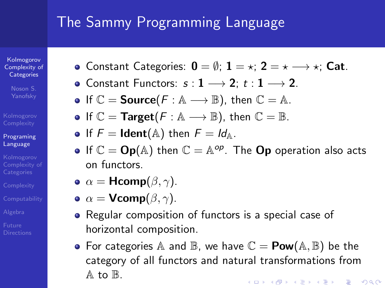## The Sammy Programming Language

Kolmogorov [Complexity of](#page-0-0) **Categories** 

Noson S.

#### [Programing](#page-5-0) Language

<span id="page-5-0"></span>

• Constant Categories:  $0 = \emptyset$ ;  $1 = \star$ ;  $2 = \star \longrightarrow \star$ ; Cat.

- Constant Functors:  $s: 1 \longrightarrow 2$ ;  $t: 1 \longrightarrow 2$ .
- If  $\mathbb{C} =$  **Source**( $F : \mathbb{A} \longrightarrow \mathbb{B}$ ), then  $\mathbb{C} = \mathbb{A}$ .
- If  $\mathbb{C} =$  Target( $F : \mathbb{A} \longrightarrow \mathbb{B}$ ), then  $\mathbb{C} = \mathbb{B}$ .
- If  $F =$  Ident(A) then  $F = Id$ <sub>A</sub>.
- If  $\mathbb{C} = \mathsf{Op}(\mathbb{A})$  then  $\mathbb{C} = \mathbb{A}^{op}$ . The  $\mathsf{Op}$  operation also acts on functors.
- $\bullet \ \alpha = \mathsf{Hcomp}(\beta, \gamma).$
- $\bullet \ \alpha = \mathsf{Vcomp}(\beta, \gamma)$ .
- Regular composition of functors is a special case of horizontal composition.
- For categories A and  $\mathbb B$ , we have  $\mathbb C = \text{Pow}(\mathbb A, \mathbb B)$  be the category of all functors and natural transformations from  $A$  to  $B$ . **KORKA SERKER ORA**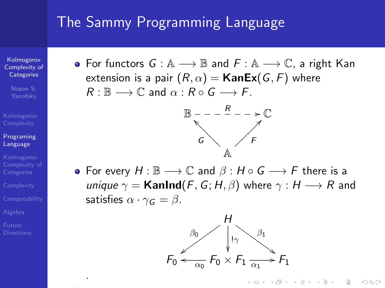### The Sammy Programming Language

Kolmogorov [Complexity of](#page-0-0) **Categories** 

Noson S.

#### [Programing](#page-5-0) Language

.

• For functors  $G : A \longrightarrow \mathbb{B}$  and  $F : A \longrightarrow \mathbb{C}$ , a right Kan extension is a pair  $(R, \alpha) =$ **KanEx** $(G, F)$  where  $R : \mathbb{B} \longrightarrow \mathbb{C}$  and  $\alpha : R \circ G \longrightarrow F$ .



• For every  $H : \mathbb{B} \longrightarrow \mathbb{C}$  and  $\beta : H \circ G \longrightarrow F$  there is a unique  $\gamma =$  KanInd(F, G; H,  $\beta$ ) where  $\gamma : H \longrightarrow R$  and satisfies  $\alpha \cdot \gamma_G = \beta$ .



**KORK STRAIN A BAR SHOP**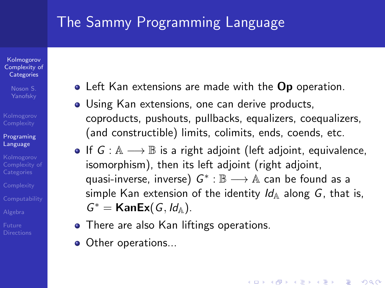## The Sammy Programming Language

Kolmogorov [Complexity of](#page-0-0) **Categories** 

Noson S.

#### [Programing](#page-5-0) Language

- 
- 
- 

<span id="page-7-0"></span>

- Left Kan extensions are made with the Op operation.
- Using Kan extensions, one can derive products, coproducts, pushouts, pullbacks, equalizers, coequalizers, (and constructible) limits, colimits, ends, coends, etc.
- If  $G : A \longrightarrow \mathbb{B}$  is a right adjoint (left adjoint, equivalence, isomorphism), then its left adjoint (right adjoint, quasi-inverse, inverse)  $G^*:\mathbb{B}\longrightarrow \mathbb{A}$  can be found as a simple Kan extension of the identity  $Id_A$  along G, that is,  $G^* =$  KanEx( $G, Id$ <sup>A</sup>).

**KORKA SERKER ORA** 

- There are also Kan liftings operations.
- Other operations...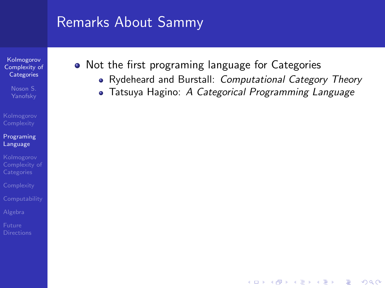Kolmogorov [Complexity of](#page-0-0) **Categories** 

Noson S.

#### [Programing](#page-5-0) Language

<span id="page-8-0"></span>

- Not the first programing language for Categories
	- Rydeheard and Burstall: Computational Category Theory

**KORK ERKER ER AGA** 

• Tatsuya Hagino: A Categorical Programming Language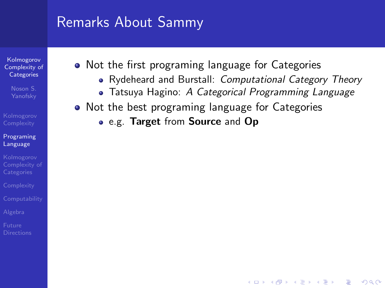Kolmogorov [Complexity of](#page-0-0) **Categories** 

Noson S.

#### [Programing](#page-5-0) Language

- Not the first programing language for Categories
	- Rydeheard and Burstall: Computational Category Theory

**KORK ERKER ER AGA** 

- Tatsuya Hagino: A Categorical Programming Language
- Not the best programing language for Categories
	- e.g. Target from Source and Op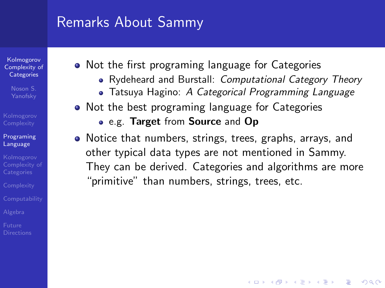Kolmogorov [Complexity of](#page-0-0) **Categories** 

Noson S.

#### [Programing](#page-5-0) Language

<span id="page-10-0"></span>

- Not the first programing language for Categories
	- Rydeheard and Burstall: Computational Category Theory
	- Tatsuya Hagino: A Categorical Programming Language
- Not the best programing language for Categories
	- e.g. Target from Source and Op
- Notice that numbers, strings, trees, graphs, arrays, and other typical data types are not mentioned in Sammy. They can be derived. Categories and algorithms are more "primitive" than numbers, strings, trees, etc.

**KORKA SERKER ORA**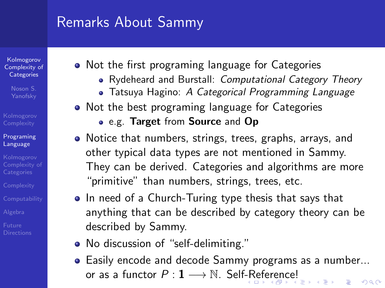Kolmogorov [Complexity of](#page-0-0) **Categories** 

Noson S.

#### [Programing](#page-5-0) Language

- 
- 
- 
- 
- <span id="page-11-0"></span>
- Not the first programing language for Categories
	- Rydeheard and Burstall: Computational Category Theory
	- Tatsuya Hagino: A Categorical Programming Language
- Not the best programing language for Categories
	- e.g. Target from Source and Op
- Notice that numbers, strings, trees, graphs, arrays, and other typical data types are not mentioned in Sammy. They can be derived. Categories and algorithms are more "primitive" than numbers, strings, trees, etc.
- In need of a Church-Turing type thesis that says that anything that can be described by category theory can be described by Sammy.
- No discussion of "self-delimiting."
- Easily encode and decode Sammy programs as a number... o[r](#page-7-0) as a fu[n](#page-11-0)[c](#page-12-0)tor  $P: 1 \longrightarrow \mathbb{N}$ . Self[-R](#page-10-0)[efe](#page-12-0)r[e](#page-8-0)nc[e!](#page-4-0) あお すあおし  $\equiv$  $\Omega$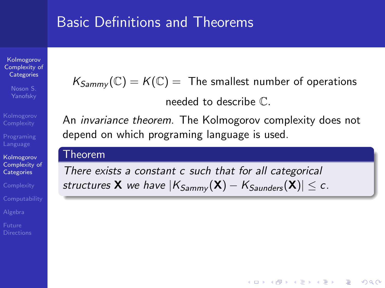### Basic Definitions and Theorems

Kolmogorov [Complexity of](#page-0-0) **Categories** 

Kolmogorov [Complexity of](#page-12-0) **Categories** 

<span id="page-12-0"></span>

 $K_{Sammv}(\mathbb{C}) = K(\mathbb{C}) =$  The smallest number of operations

needed to describe C.

**KORK STRATER STRAKER** 

An invariance theorem. The Kolmogorov complexity does not depend on which programing language is used.

### Theorem

There exists a constant c such that for all categorical structures **X** we have  $|K_{Sammv}(\mathbf{X}) - K_{Saunders}(\mathbf{X})| \leq c$ .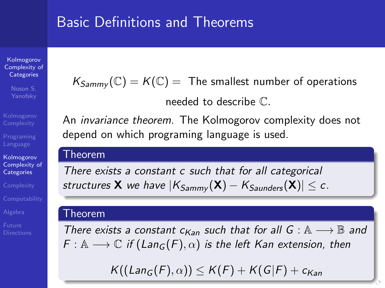### Basic Definitions and Theorems

Kolmogorov [Complexity of](#page-0-0) **Categories** 

Yanofsky

Kolmogorov [Complexity of](#page-12-0) **Categories** 

 $K_{Sammv}(\mathbb{C}) = K(\mathbb{C}) =$  The smallest number of operations

needed to describe C.

An invariance theorem. The Kolmogorov complexity does not depend on which programing language is used.

### Theorem

There exists a constant c such that for all categorical structures **X** we have  $|K_{Sammv}(\mathbf{X}) - K_{Saunders}(\mathbf{X})| \leq c$ .

### Theorem

There exists a constant  $c_{Kan}$  such that for all  $G : A \longrightarrow \mathbb{B}$  and  $F: \mathbb{A} \longrightarrow \mathbb{C}$  if  $(Lan_G(F), \alpha)$  is the left Kan extension, then

 $K((\text{Lan}_G(F), \alpha)) \leq K(F) + K(G/F) + c_{\text{Kan}}$  $K((\text{Lan}_G(F), \alpha)) \leq K(F) + K(G/F) + c_{\text{Kan}}$  $K((\text{Lan}_G(F), \alpha)) \leq K(F) + K(G/F) + c_{\text{Kan}}$  $K((\text{Lan}_G(F), \alpha)) \leq K(F) + K(G/F) + c_{\text{Kan}}$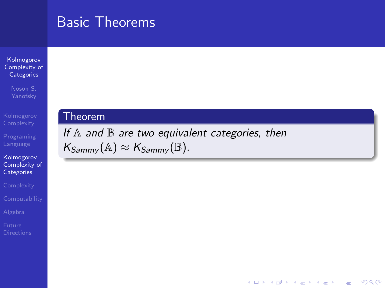### Basic Theorems

Kolmogorov [Complexity of](#page-0-0) **Categories** 

Noson S.

Kolmogorov [Complexity of](#page-12-0) **Categories** 

### **Theorem**

If  $A$  and  $B$  are two equivalent categories, then  $K_{Sammy}(\mathbb{A}) \approx K_{Sammy}(\mathbb{B}).$ 

 $2990$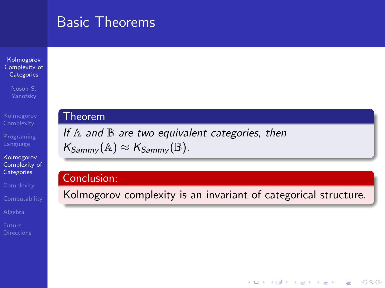### Basic Theorems

#### Kolmogorov [Complexity of](#page-0-0) **Categories**

Noson S.

Kolmogorov [Complexity of](#page-12-0) **Categories** 

<span id="page-15-0"></span>

### Theorem

If  $A$  and  $B$  are two equivalent categories, then  $K_{Sammv}(\mathbb{A}) \approx K_{Sammv}(\mathbb{B}).$ 

### Conclusion:

Kolmogorov complexity is an invariant of categorical structure.

 $2990$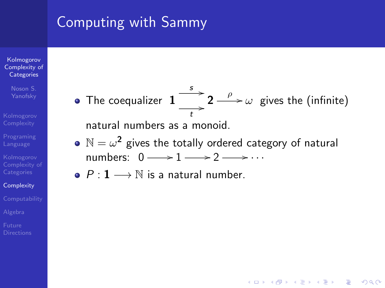### Computing with Sammy

#### Kolmogorov [Complexity of](#page-0-0) **Categories**

- Noson S.
- 
- 
- 
- **[Complexity](#page-16-0)**
- 
- 
- <span id="page-16-0"></span>

The coequalizer  $\, {\bf 1}$  $\overrightarrow{t}$  $\stackrel{s}{\longrightarrow}$  2  $\stackrel{\rho}{\longrightarrow}\omega$  gives the (infinite)

natural numbers as a monoid.

 $\mathbb{N}=\omega^{\mathbf{2}}$  gives the totally ordered category of natural numbers:  $0 \rightarrow 1 \rightarrow 2 \rightarrow \cdots$ 

**KORKA SERKER ORA** 

 $\bullet$   $P: 1 \longrightarrow \mathbb{N}$  is a natural number.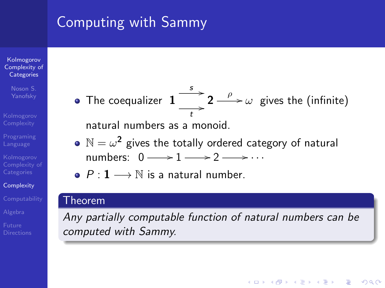## Computing with Sammy

#### Kolmogorov [Complexity of](#page-0-0) **Categories**

Noson S.

**[Complexity](#page-16-0)** 

The coequalizer  $\, {\bf 1}$  $\overrightarrow{t}$  $\stackrel{s}{\longrightarrow}$  2  $\stackrel{\rho}{\longrightarrow}\omega$  gives the (infinite)

natural numbers as a monoid.

- $\mathbb{N}=\omega^{\mathbf{2}}$  gives the totally ordered category of natural numbers:  $0 \rightarrow 1 \rightarrow 2 \rightarrow \cdots$
- $P: 1 \longrightarrow \mathbb{N}$  is a natural number.

### Theorem

Any partially computable function of natural numbers can be computed with Sammy.

**KORK STRATER STRAKER**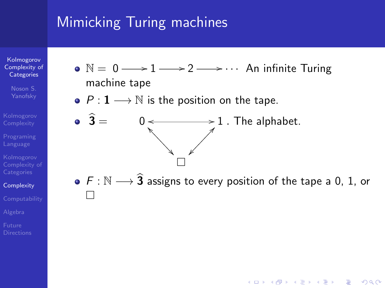Kolmogorov [Complexity of](#page-0-0) **Categories** 

- Noson S.
- 
- 
- 
- **[Complexity](#page-16-0)**
- 
- 
- 
- $\mathbb{N} = 0 \longrightarrow 1 \longrightarrow 2 \longrightarrow \cdots$  An infinite Turing machine tape
- $P: 1 \longrightarrow \mathbb{N}$  is the position on the tape.
- $\mathbf{3} = \begin{array}{c} 0 \leftarrow \longrightarrow \\ \searrow \longrightarrow \end{array}$ ^  $\ddot{\phantom{0}}$ ❂ ❂ ❂ ❂ ❂ ❂ ❂ ❂  $1$ . The alphabet. ✁  $\angle$  $\overline{\phantom{a}}$  $\overline{\phantom{a}}$  $\overline{\phantom{a}}$  $\overline{\phantom{a}}$  $\overline{\phantom{a}}$  $\overline{\phantom{a}}$  $\Box$
- $\bullet$  F :  $\mathbb{N} \longrightarrow \widehat{\mathbf{3}}$  assigns to every position of the tape a 0, 1, or  $\Box$

**KOD KARD KED KED E YORA**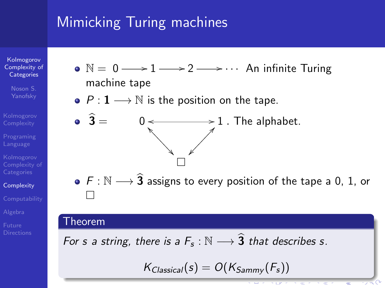Kolmogorov [Complexity of](#page-0-0) **Categories** 

- Noson S.
- 
- 
- 
- **[Complexity](#page-16-0)**
- 
- 
- 
- $\mathbb{N} = 0 \longrightarrow 1 \longrightarrow 2 \longrightarrow \cdots$  An infinite Turing machine tape
- $P: 1 \longrightarrow \mathbb{N}$  is the position on the tape.
- $\mathbf{3} = \begin{array}{c} 0 \leftarrow \longrightarrow \\ \searrow \longrightarrow \end{array}$ ^  $\ddot{\phantom{0}}$ ❂ ❂ ❂ ❂ ❂ ❂ ❂ ❂  $1$ . The alphabet. ✁  $\angle$  $\overline{\phantom{a}}$  $\overline{a}$  $\overline{\phantom{a}}$  $\overline{\phantom{a}}$  $\overline{\phantom{a}}$  $\overline{\phantom{a}}$  $\Box$
- $\bullet$  F :  $\mathbb{N} \longrightarrow \widehat{\mathbf{3}}$  assigns to every position of the tape a 0, 1, or  $\Box$

### Theorem

For s a string, there is a  $F_s : \mathbb{N} \longrightarrow \widehat{3}$  that describes s.

$$
K_{Classical}(s) = O(K_{Sammy}(F_s))
$$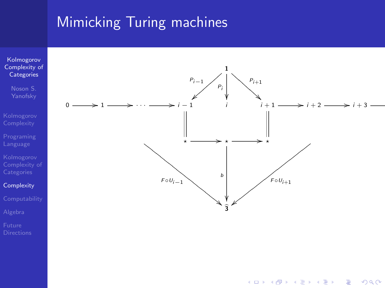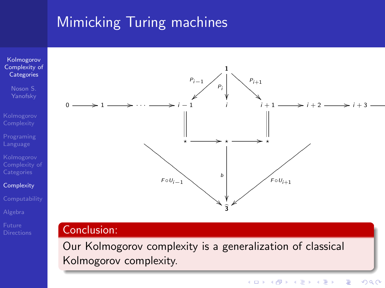

Our Kolmogorov complexity is a generalization of classical Kolmogorov complexity.

1

 $\overline{3}$ ❋ ❋  $\overline{\phantom{0}}$  $\overline{\phantom{0}}$  $\overline{\phantom{0}}$ ❋ ❋  $\overline{\phantom{0}}$ ❋  $\overline{\phantom{0}}$  $\overline{\phantom{0}}$ ❋ ❋ ❋ ❋ ❋  $\overline{\phantom{0}}$ 

ŗ

|① ① ① ① ① ① ①  $\overline{\phantom{a}}$ ① ①  $\overline{\phantom{a}}$ ① ① ① ① ①

b

 $\bigwedge^{P_{i+1}}$ .<br>; ❇ ❇ ❇ ❇ ❇ ❇

 $\ddot{\ast}$ 

 $\sqrt{F \circ U_{i+1}}$ 

 $P_{i-1}$ }④ ④  $\overline{\phantom{a}}$ ④ ④  $\mathcal{D}_{\mathsf{p}_i}$ Pi ľ,

 $F \circ U_{i-1}$ 

 $\begin{array}{ccc} & & \overbrace{\phantom{aa}}^{*} & \longrightarrow \\ & & \nearrow & \end{array}$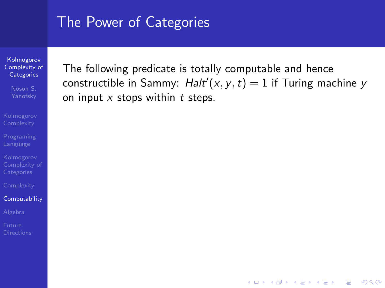Kolmogorov [Complexity of](#page-0-0) **Categories** 

Noson S.

#### **[Computability](#page-22-0)**

<span id="page-22-0"></span>

The following predicate is totally computable and hence constructible in Sammy:  $\text{Halt}'(x, y, t) = 1$  if Turing machine y on input  $x$  stops within  $t$  steps.

**KOD KARD KED KED E YORA**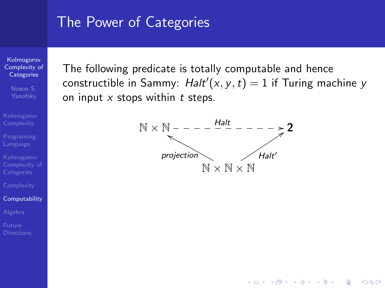Kolmogorov [Complexity of](#page-0-0) **Categories** 

Noson S.

#### **[Computability](#page-22-0)**

The following predicate is totally computable and hence constructible in Sammy:  $\text{Halt}'(x, y, t) = 1$  if Turing machine y on input  $x$  stops within  $t$  steps.



**KOD KARD KED KED E YORA**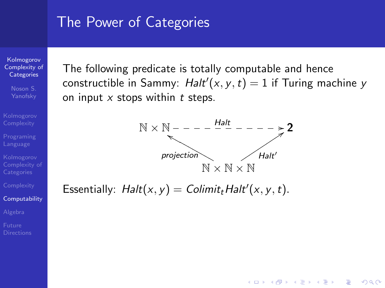Kolmogorov [Complexity of](#page-0-0) **Categories** 

Noson S.

#### **[Computability](#page-22-0)**

The following predicate is totally computable and hence constructible in Sammy:  $\text{Halt}'(x, y, t) = 1$  if Turing machine y on input  $x$  stops within  $t$  steps.



**KORK STRAIN A BAR SHOP** 

Essentially:  $Halt(x, y) = Colimit_t Halt'(x, y, t)$ .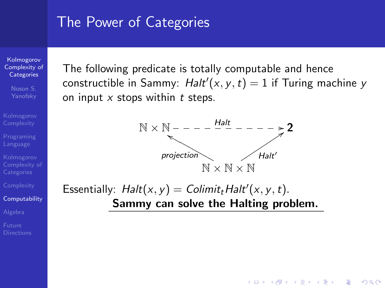Kolmogorov [Complexity of](#page-0-0) **Categories** 

Noson S.

#### **[Computability](#page-22-0)**

The following predicate is totally computable and hence constructible in Sammy:  $\text{Halt}'(x, y, t) = 1$  if Turing machine y on input  $x$  stops within  $t$  steps.



**KORK STRAIN A BAR SHOP** 

Essentially:  $Halt(x, y) = Colimit_t Halt'(x, y, t)$ . Sammy can solve the Halting problem.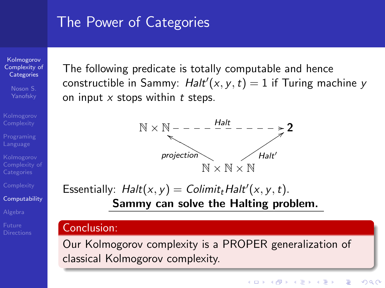Kolmogorov [Complexity of](#page-0-0) **Categories** 

Noson S.

**[Computability](#page-22-0)** 

The following predicate is totally computable and hence constructible in Sammy:  $\text{Halt}'(x, y, t) = 1$  if Turing machine y on input  $x$  stops within  $t$  steps.



Essentially:  $Halt(x, y) = Colimit_t Halt'(x, y, t)$ . Sammy can solve the Halting problem.

### Conclusion:

Our Kolmogorov complexity is a PROPER generalization of classical Kolmogorov complexity.

 $\left\{ \begin{array}{ccc} \pm & \pm & \pm \end{array} \right.$ 

 $2990$ GHT 1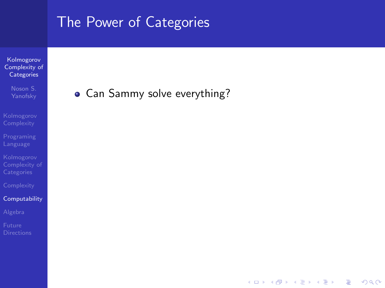Kolmogorov [Complexity of](#page-0-0) **Categories** 

Noson S.

#### **[Computability](#page-22-0)**

Can Sammy solve everything?

イロメ イ団メ イ君メ イ君メー

 $\mathbb{R}^+$  $2990$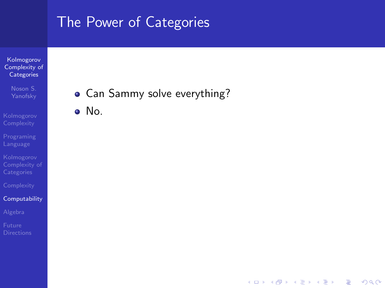#### Kolmogorov [Complexity of](#page-0-0) **Categories**

- Noson S.
- 
- 
- 
- 

#### **[Computability](#page-22-0)**

- 
- 

Can Sammy solve everything?

イロン イ部ン イ君ン イ君ンシ

 $\mathbb{B}^{n-1}$  $299$ 

No.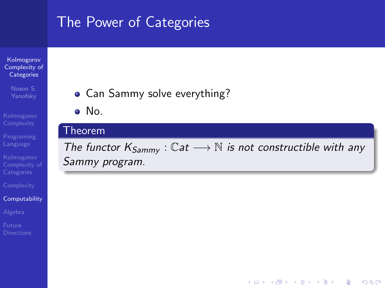Kolmogorov [Complexity of](#page-0-0) **Categories** 

Noson S.

**[Computability](#page-22-0)** 

• Can Sammy solve everything?

No.

### Theorem

The functor  $K_{Sammv}$  :  $\mathbb{C}at \longrightarrow \mathbb{N}$  is not constructible with any Sammy program.

イロト イ押 トイヨト イヨト

B

 $2Q$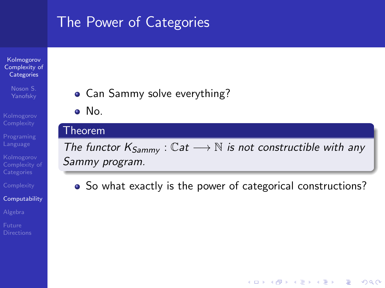#### Kolmogorov [Complexity of](#page-0-0) **Categories**

- Noson S.
- 
- 
- 
- 
- **[Computability](#page-22-0)**
- 
- 
- Can Sammy solve everything?
- No.

### Theorem

The functor  $K_{Samm}$  :  $\mathbb{C}at \longrightarrow \mathbb{N}$  is not constructible with any Sammy program.

• So what exactly is the power of categorical constructions?

 $(1 - 4)$   $(1 - 4)$   $(1 - 4)$   $(1 - 4)$   $(1 - 4)$   $(1 - 4)$   $(1 - 4)$   $(1 - 4)$   $(1 - 4)$   $(1 - 4)$   $(1 - 4)$   $(1 - 4)$   $(1 - 4)$   $(1 - 4)$   $(1 - 4)$   $(1 - 4)$   $(1 - 4)$   $(1 - 4)$   $(1 - 4)$   $(1 - 4)$   $(1 - 4)$   $(1 - 4)$   $(1 - 4)$   $(1 - 4)$   $(1 -$ 

 $\Rightarrow$ 

 $2Q$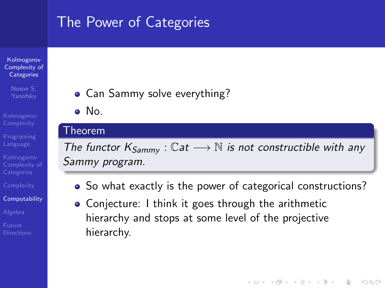#### Kolmogorov [Complexity of](#page-0-0) **Categories**

- Noson S.
- 
- 
- 
- 
- **[Computability](#page-22-0)**
- 
- 
- Can Sammy solve everything?
- No.

### Theorem

The functor  $K_{Sammv}$ : Cat  $\longrightarrow$  N is not constructible with any Sammy program.

• So what exactly is the power of categorical constructions?

**KORK STRATER STRAKER** 

Conjecture: I think it goes through the arithmetic hierarchy and stops at some level of the projective hierarchy.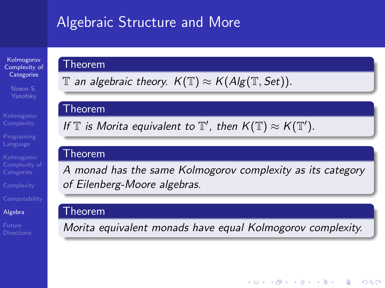## Algebraic Structure and More

Kolmogorov [Complexity of](#page-0-0) **Categories** 

**[Complexity](#page-16-0)** 

[Algebra](#page-32-0)

<span id="page-32-0"></span>

### Theorem

 $\mathbb T$  an algebraic theory.  $K(\mathbb T)\approx K(A\lg(\mathbb T, Set)).$ 

### Theorem

If  $\mathbb T$  is Morita equivalent to  $\mathbb T'$ , then  $K(\mathbb T)\approx K(\mathbb T')$ .

### Theorem

A monad has the same Kolmogorov complexity as its category of Eilenberg-Moore algebras.

### Theorem

Morita equivalent monads have equal Kolmogorov complexity.

 $2Q$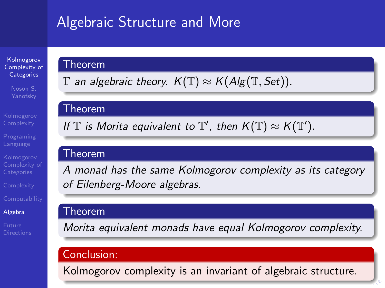## Algebraic Structure and More

Kolmogorov [Complexity of](#page-0-0) **Categories** 

**[Complexity](#page-16-0)** 

[Algebra](#page-32-0)

<span id="page-33-0"></span>

### Theorem

 $\mathbb T$  an algebraic theory.  $K(\mathbb T)\approx K(A\lg(\mathbb T, Set)).$ 

### Theorem

If  $\mathbb T$  is Morita equivalent to  $\mathbb T'$ , then  $K(\mathbb T)\approx K(\mathbb T')$ .

### Theorem

A monad has the same Kolmogorov complexity as its category of Eilenberg-Moore algebras.

### Theorem

Morita equivalent monads have equal Kolmogorov complexity.

### Conclusion:

Kolmogorov complexity is an invariant of algebraic structure.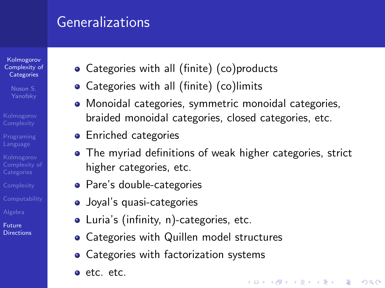### **Generalizations**

Kolmogorov [Complexity of](#page-0-0) **Categories** 

<span id="page-34-0"></span>Future **[Directions](#page-34-0)** 

- Categories with all (finite) (co)products
- Categories with all (finite) (co)limits
- Monoidal categories, symmetric monoidal categories, braided monoidal categories, closed categories, etc.
- **•** Enriched categories
- The myriad definitions of weak higher categories, strict higher categories, etc.

**KORK STRATER STRAKER** 

- Pare's double-categories
- Joyal's quasi-categories
- Luria's (infinity, n)-categories, etc.
- Categories with Quillen model structures
- Categories with factorization systems
- etc. etc.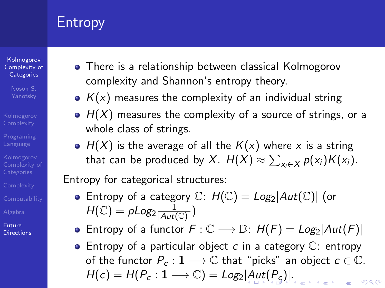## Entropy

Kolmogorov [Complexity of](#page-0-0) **Categories** 

Noson S.

<span id="page-35-0"></span>Future **[Directions](#page-34-0)** 

- There is a relationship between classical Kolmogorov complexity and Shannon's entropy theory.
	- $K(x)$  measures the complexity of an individual string
	- $\bullet$   $H(X)$  measures the complexity of a source of strings, or a whole class of strings.
	- $\bullet$  H(X) is the average of all the  $K(x)$  where x is a string that can be produced by  $X$ .  $H(X) \approx \sum_{x_i \in X} p(x_i) K(x_i)$ .

Entropy for categorical structures:

- **Entropy of a category**  $\mathbb{C}$ **:**  $H(\mathbb{C}) = Log_2|Aut(\mathbb{C})|$  (or  $H(\mathbb{C})=\rho Log_{2}\frac{1}{|Aut(\mathbb{C})|})$
- Entropy of a functor  $F: \mathbb{C} \longrightarrow \mathbb{D}$ :  $H(F) = Log_2|Aut(F)|$
- Entropy of a particular object  $c$  in a category  $\mathbb{C}$ : entropy of the functor  $P_c: \mathbf{1} \longrightarrow \mathbb{C}$  that "picks" an object  $c \in \mathbb{C}$ .  $H(c) = H(P_c: 1 \longrightarrow \mathbb{C}) = Log_2 |Aut(P_c)|.$  $H(c) = H(P_c: 1 \longrightarrow \mathbb{C}) = Log_2 |Aut(P_c)|.$  $H(c) = H(P_c: 1 \longrightarrow \mathbb{C}) = Log_2 |Aut(P_c)|.$  $H(c) = H(P_c: 1 \longrightarrow \mathbb{C}) = Log_2 |Aut(P_c)|.$  $H(c) = H(P_c: 1 \longrightarrow \mathbb{C}) = Log_2 |Aut(P_c)|.$  $H(c) = H(P_c: 1 \longrightarrow \mathbb{C}) = Log_2 |Aut(P_c)|.$  $H(c) = H(P_c: 1 \longrightarrow \mathbb{C}) = Log_2 |Aut(P_c)|.$  $H(c) = H(P_c: 1 \longrightarrow \mathbb{C}) = Log_2 |Aut(P_c)|.$  $H(c) = H(P_c: 1 \longrightarrow \mathbb{C}) = Log_2 |Aut(P_c)|.$  $H(c) = H(P_c: 1 \longrightarrow \mathbb{C}) = Log_2 |Aut(P_c)|.$  $000$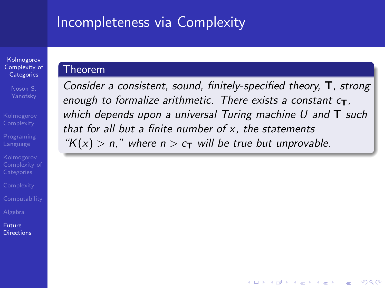### **Incompleteness via Complexity**

Kolmogorov [Complexity of](#page-0-0) **Categories** 

Noson S.

<span id="page-36-0"></span>Future **[Directions](#page-34-0)** 

### Theorem

Consider a consistent, sound, finitely-specified theory, T, strong enough to formalize arithmetic. There exists a constant  $c_{\text{T}}$ . which depends upon a universal Turing machine  $U$  and  $T$  such that for all but a finite number of  $x$ , the statements "K(x) > n," where  $n > c_T$  will be true but unprovable.

**KORK STRATER STRAKER**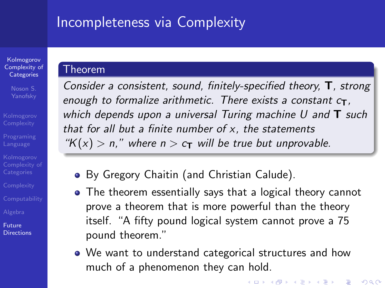### Incompleteness via Complexity

Kolmogorov [Complexity of](#page-0-0) **Categories** 

Noson S.

<span id="page-37-0"></span>Future **[Directions](#page-34-0)** 

### Theorem

Consider a consistent, sound, finitely-specified theory, T, strong enough to formalize arithmetic. There exists a constant  $c_{\text{T}}$ , which depends upon a universal Turing machine  $U$  and  $T$  such that for all but a finite number of  $x$ , the statements "K(x) > n," where  $n > c_T$  will be true but unprovable.

- By Gregory Chaitin (and Christian Calude).
- The theorem essentially says that a logical theory cannot prove a theorem that is more powerful than the theory itself. "A fifty pound logical system cannot prove a 75 pound theorem."
- We want to understand categorical structures and how much of a phenomenon they can hold.

**KORKA SERKER ORA**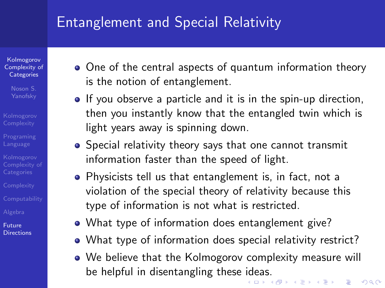## Entanglement and Special Relativity

Kolmogorov [Complexity of](#page-0-0) **Categories** 

Noson S.

- 
- 
- 
- 
- 
- 

Future **[Directions](#page-34-0)** 

- One of the central aspects of quantum information theory is the notion of entanglement.
- If you observe a particle and it is in the spin-up direction, then you instantly know that the entangled twin which is light years away is spinning down.
- Special relativity theory says that one cannot transmit information faster than the speed of light.
- Physicists tell us that entanglement is, in fact, not a violation of the special theory of relativity because this type of information is not what is restricted.
- What type of information does entanglement give?
- What type of information does special relativity restrict?
- We believe that the Kolmogorov complexity measure will be helpful in disentangling these [id](#page-37-0)e[as](#page-39-0)[.](#page-37-0)<br>All the set of the set of the set of the set of the set of the set of the set of the set of the set of the set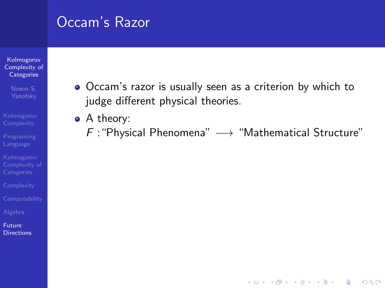### Occam's Razor

#### Kolmogorov [Complexity of](#page-0-0) **Categories**

- Noson S.
- 
- 
- 
- 
- 
- 

#### <span id="page-39-0"></span>Future **[Directions](#page-34-0)**

- Occam's razor is usually seen as a criterion by which to judge different physical theories.
- A theory:
	- $F$  : "Physical Phenomena"  $\longrightarrow$  "Mathematical Structure"

**KOD KARD KED KED E YORA**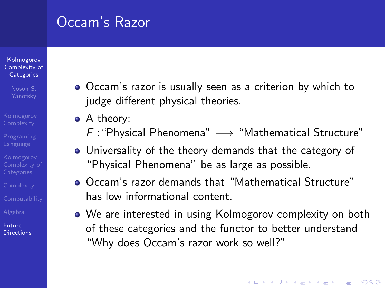## Occam's Razor

#### Kolmogorov [Complexity of](#page-0-0) **Categories**

- 
- 
- 
- 
- 
- 
- 
- Future **[Directions](#page-34-0)**
- Occam's razor is usually seen as a criterion by which to judge different physical theories.
- A theory:
	- F : "Physical Phenomena"  $\longrightarrow$  "Mathematical Structure"
- Universality of the theory demands that the category of "Physical Phenomena" be as large as possible.
- Occam's razor demands that "Mathematical Structure" has low informational content.
- We are interested in using Kolmogorov complexity on both of these categories and the functor to better understand "Why does Occam's razor work so well?"

**KORK STRATER STRAKER**